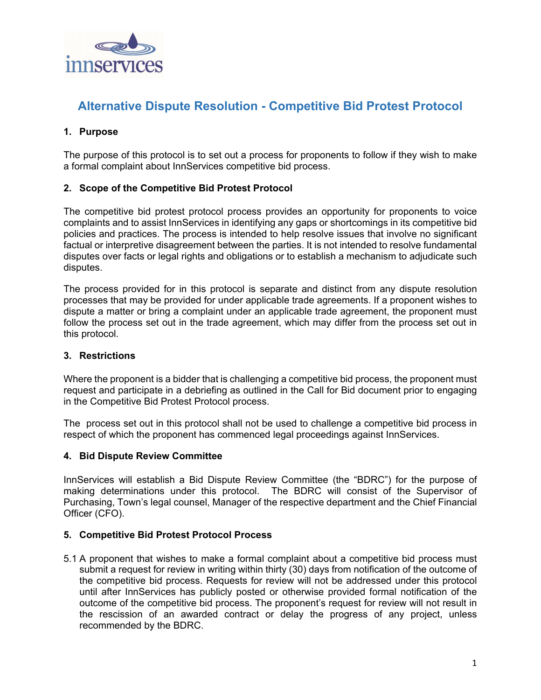

# **Alternative Dispute Resolution - Competitive Bid Protest Protocol**

## **1. Purpose**

The purpose of this protocol is to set out a process for proponents to follow if they wish to make a formal complaint about InnServices competitive bid process.

### **2. Scope of the Competitive Bid Protest Protocol**

The competitive bid protest protocol process provides an opportunity for proponents to voice complaints and to assist InnServices in identifying any gaps or shortcomings in its competitive bid policies and practices. The process is intended to help resolve issues that involve no significant factual or interpretive disagreement between the parties. It is not intended to resolve fundamental disputes over facts or legal rights and obligations or to establish a mechanism to adjudicate such disputes.

The process provided for in this protocol is separate and distinct from any dispute resolution processes that may be provided for under applicable trade agreements. If a proponent wishes to dispute a matter or bring a complaint under an applicable trade agreement, the proponent must follow the process set out in the trade agreement, which may differ from the process set out in this protocol.

### **3. Restrictions**

Where the proponent is a bidder that is challenging a competitive bid process, the proponent must request and participate in a debriefing as outlined in the Call for Bid document prior to engaging in the Competitive Bid Protest Protocol process.

The process set out in this protocol shall not be used to challenge a competitive bid process in respect of which the proponent has commenced legal proceedings against InnServices.

### **4. Bid Dispute Review Committee**

InnServices will establish a Bid Dispute Review Committee (the "BDRC") for the purpose of making determinations under this protocol. The BDRC will consist of the Supervisor of Purchasing, Town's legal counsel, Manager of the respective department and the Chief Financial Officer (CFO).

### **5. Competitive Bid Protest Protocol Process**

5.1 A proponent that wishes to make a formal complaint about a competitive bid process must submit a request for review in writing within thirty (30) days from notification of the outcome of the competitive bid process. Requests for review will not be addressed under this protocol until after InnServices has publicly posted or otherwise provided formal notification of the outcome of the competitive bid process. The proponent's request for review will not result in the rescission of an awarded contract or delay the progress of any project, unless recommended by the BDRC.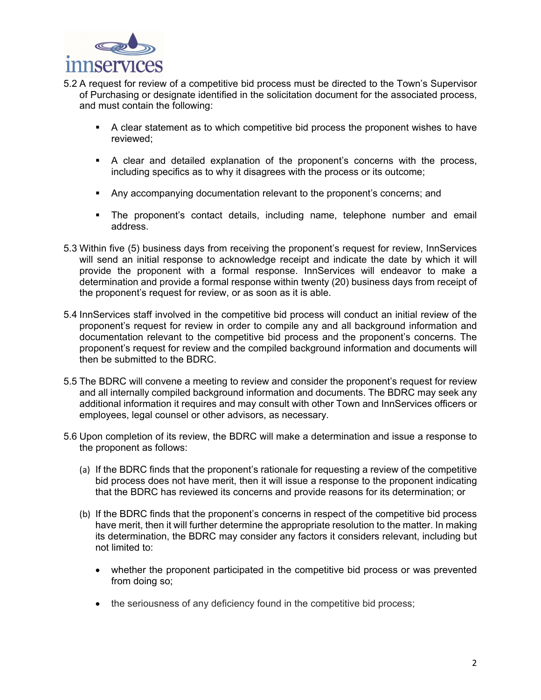

- 5.2 A request for review of a competitive bid process must be directed to the Town's Supervisor of Purchasing or designate identified in the solicitation document for the associated process, and must contain the following:
	- A clear statement as to which competitive bid process the proponent wishes to have reviewed;
	- A clear and detailed explanation of the proponent's concerns with the process, including specifics as to why it disagrees with the process or its outcome;
	- Any accompanying documentation relevant to the proponent's concerns; and
	- The proponent's contact details, including name, telephone number and email address.
- 5.3 Within five (5) business days from receiving the proponent's request for review, InnServices will send an initial response to acknowledge receipt and indicate the date by which it will provide the proponent with a formal response. InnServices will endeavor to make a determination and provide a formal response within twenty (20) business days from receipt of the proponent's request for review, or as soon as it is able.
- 5.4 InnServices staff involved in the competitive bid process will conduct an initial review of the proponent's request for review in order to compile any and all background information and documentation relevant to the competitive bid process and the proponent's concerns. The proponent's request for review and the compiled background information and documents will then be submitted to the BDRC.
- 5.5 The BDRC will convene a meeting to review and consider the proponent's request for review and all internally compiled background information and documents. The BDRC may seek any additional information it requires and may consult with other Town and InnServices officers or employees, legal counsel or other advisors, as necessary.
- 5.6 Upon completion of its review, the BDRC will make a determination and issue a response to the proponent as follows:
	- (a) If the BDRC finds that the proponent's rationale for requesting a review of the competitive bid process does not have merit, then it will issue a response to the proponent indicating that the BDRC has reviewed its concerns and provide reasons for its determination; or
	- (b) If the BDRC finds that the proponent's concerns in respect of the competitive bid process have merit, then it will further determine the appropriate resolution to the matter. In making its determination, the BDRC may consider any factors it considers relevant, including but not limited to:
		- whether the proponent participated in the competitive bid process or was prevented from doing so;
		- the seriousness of any deficiency found in the competitive bid process;